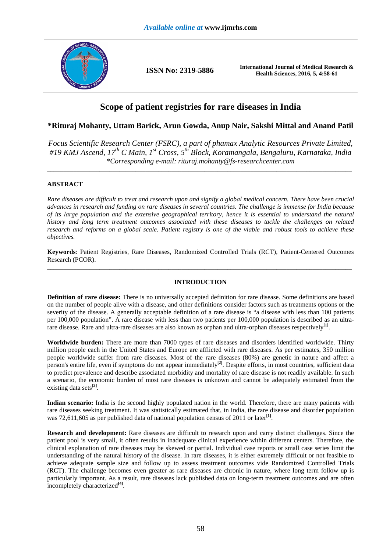

**ISSN No: 2319-5886 International Journal of Medical Research & Health Sciences, 2016, 5, 4:58-61** 

# **Scope of patient registries for rare diseases in India**

## **\*Rituraj Mohanty, Uttam Barick, Arun Gowda, Anup Nair, Sakshi Mittal and Anand Patil**

*Focus Scientific Research Center (FSRC), a part of phamax Analytic Resources Private Limited, #19 KMJ Ascend, 17th C Main, 1st Cross, 5th Block, Koramangala, Bengaluru, Karnataka, India \*Corresponding e-mail: rituraj.mohanty@fs-researchcenter.com* 

 $\overline{a}$  , and the contribution of the contribution of the contribution of the contribution of the contribution of the contribution of the contribution of the contribution of the contribution of the contribution of the co

## **ABSTRACT**

*Rare diseases are difficult to treat and research upon and signify a global medical concern. There have been crucial advances in research and funding on rare diseases in several countries. The challenge is immense for India because of its large population and the extensive geographical territory, hence it is essential to understand the natural history and long term treatment outcomes associated with these diseases to tackle the challenges on related research and reforms on a global scale. Patient registry is one of the viable and robust tools to achieve these objectives.* 

**Keywords**: Patient Registries, Rare Diseases, Randomized Controlled Trials (RCT), Patient-Centered Outcomes Research (PCOR). \_\_\_\_\_\_\_\_\_\_\_\_\_\_\_\_\_\_\_\_\_\_\_\_\_\_\_\_\_\_\_\_\_\_\_\_\_\_\_\_\_\_\_\_\_\_\_\_\_\_\_\_\_\_\_\_\_\_\_\_\_\_\_\_\_\_\_\_\_\_\_\_\_\_\_\_\_\_\_\_\_\_\_\_\_\_\_\_\_\_\_\_\_

## **INTRODUCTION**

**Definition of rare disease:** There is no universally accepted definition for rare disease. Some definitions are based on the number of people alive with a disease, and other definitions consider factors such as treatments options or the severity of the disease. A generally acceptable definition of a rare disease is "a disease with less than 100 patients per 100,000 population". A rare disease with less than two patients per 100,000 population is described as an ultrarare disease. Rare and ultra-rare diseases are also known as orphan and ultra-orphan diseases respectively<sup>[1]</sup>.

**Worldwide burden:** There are more than 7000 types of rare diseases and disorders identified worldwide. Thirty million people each in the United States and Europe are afflicted with rare diseases. As per estimates, 350 million people worldwide suffer from rare diseases. Most of the rare diseases (80%) are genetic in nature and affect a person's entire life, even if symptoms do not appear immediately**[2]**. Despite efforts, in most countries, sufficient data to predict prevalence and describe associated morbidity and mortality of rare disease is not readily available. In such a scenario, the economic burden of most rare diseases is unknown and cannot be adequately estimated from the existing data sets**[3]** .

**Indian scenario:** India is the second highly populated nation in the world. Therefore, there are many patients with rare diseases seeking treatment. It was statistically estimated that, in India, the rare disease and disorder population was 72,611,605 as per published data of national population census of 2011 or later<sup>[1]</sup>.

**Research and development:** Rare diseases are difficult to research upon and carry distinct challenges. Since the patient pool is very small, it often results in inadequate clinical experience within different centers. Therefore, the clinical explanation of rare diseases may be skewed or partial. Individual case reports or small case series limit the understanding of the natural history of the disease. In rare diseases, it is either extremely difficult or not feasible to achieve adequate sample size and follow up to assess treatment outcomes vide Randomized Controlled Trials (RCT). The challenge becomes even greater as rare diseases are chronic in nature, where long term follow up is particularly important. As a result, rare diseases lack published data on long-term treatment outcomes and are often incompletely characterized**[4]** .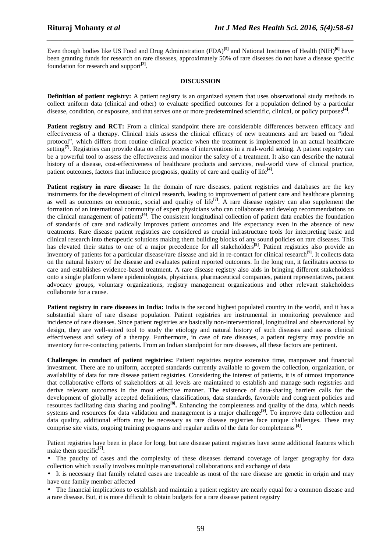Even though bodies like US Food and Drug Administration (FDA)<sup>[5]</sup> and National Institutes of Health (NIH)<sup>[6]</sup> have been granting funds for research on rare diseases, approximately 50% of rare diseases do not have a disease specific foundation for research and support<sup>[2]</sup>.

*\_\_\_\_\_\_\_\_\_\_\_\_\_\_\_\_\_\_\_\_\_\_\_\_\_\_\_\_\_\_\_\_\_\_\_\_\_\_\_\_\_\_\_\_\_\_\_\_\_\_\_\_\_\_\_\_\_\_\_\_\_\_\_\_\_\_\_\_\_\_\_\_\_\_\_\_\_\_*

#### **DISCUSSION**

**Definition of patient registry:** A patient registry is an organized system that uses observational study methods to collect uniform data (clinical and other) to evaluate specified outcomes for a population defined by a particular disease, condition, or exposure, and that serves one or more predetermined scientific, clinical, or policy purposes**[4]** .

**Patient registry and RCT:** From a clinical standpoint there are considerable differences between efficacy and effectiveness of a therapy. Clinical trials assess the clinical efficacy of new treatments and are based on "ideal protocol", which differs from routine clinical practice when the treatment is implemented in an actual healthcare setting<sup>[7]</sup>. Registries can provide data on effectiveness of interventions in a real-world setting. A patient registry can be a powerful tool to assess the effectiveness and monitor the safety of a treatment. It also can describe the natural history of a disease, cost-effectiveness of healthcare products and services, real-world view of clinical practice, patient outcomes, factors that influence prognosis, quality of care and quality of life<sup>[4]</sup>.

**Patient registry in rare disease:** In the domain of rare diseases, patient registries and databases are the key instruments for the development of clinical research, leading to improvement of patient care and healthcare planning as well as outcomes on economic, social and quality of life**[7]**. A rare disease registry can also supplement the formation of an international community of expert physicians who can collaborate and develop recommendations on the clinical management of patients**[4]**. The consistent longitudinal collection of patient data enables the foundation of standards of care and radically improves patient outcomes and life expectancy even in the absence of new treatments. Rare disease patient registries are considered as crucial infrastructure tools for interpreting basic and clinical research into therapeutic solutions making them building blocks of any sound policies on rare diseases. This has elevated their status to one of a major precedence for all stakeholders**[8]**. Patient registries also provide an inventory of patients for a particular disease/rare disease and aid in re-contact for clinical research **[7]**. It collects data on the natural history of the disease and evaluates patient reported outcomes. In the long run, it facilitates access to care and establishes evidence-based treatment. A rare disease registry also aids in bringing different stakeholders onto a single platform where epidemiologists, physicians, pharmaceutical companies, patient representatives, patient advocacy groups, voluntary organizations, registry management organizations and other relevant stakeholders collaborate for a cause.

**Patient registry in rare diseases in India:** India is the second highest populated country in the world, and it has a substantial share of rare disease population. Patient registries are instrumental in monitoring prevalence and incidence of rare diseases. Since patient registries are basically non-interventional, longitudinal and observational by design, they are well-suited tool to study the etiology and natural history of such diseases and assess clinical effectiveness and safety of a therapy. Furthermore, in case of rare diseases, a patient registry may provide an inventory for re-contacting patients. From an Indian standpoint for rare diseases, all these factors are pertinent.

**Challenges in conduct of patient registries:** Patient registries require extensive time, manpower and financial investment. There are no uniform, accepted standards currently available to govern the collection, organization, or availability of data for rare disease patient registries. Considering the interest of patients, it is of utmost importance that collaborative efforts of stakeholders at all levels are maintained to establish and manage such registries and derive relevant outcomes in the most effective manner. The existence of data-sharing barriers calls for the development of globally accepted definitions, classifications, data standards, favorable and congruent policies and resources facilitating data sharing and pooling**[8] .** Enhancing the completeness and quality of the data, which needs systems and resources for data validation and management is a major challenge<sup>[9]</sup>. To improve data collection and data quality, additional efforts may be necessary as rare disease registries face unique challenges. These may comprise site visits, ongoing training programs and regular audits of the data for completeness<sup>[4]</sup>.

Patient registries have been in place for long, but rare disease patient registries have some additional features which make them specific<sup>[7]</sup>:

• The paucity of cases and the complexity of these diseases demand coverage of larger geography for data collection which usually involves multiple transnational collaborations and exchange of data

• It is necessary that family related cases are traceable as most of the rare disease are genetic in origin and may have one family member affected

• The financial implications to establish and maintain a patient registry are nearly equal for a common disease and a rare disease. But, it is more difficult to obtain budgets for a rare disease patient registry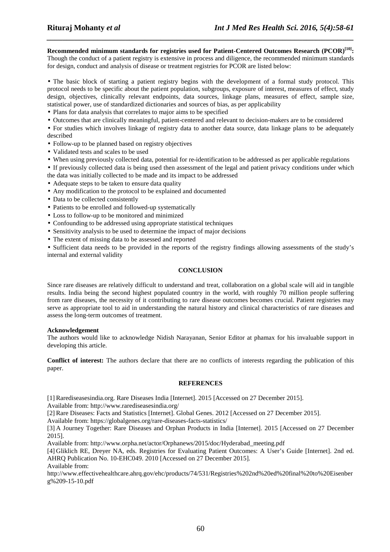**Recommended minimum standards for registries used for Patient-Centered Outcomes Research (PCOR)[10]:**  Though the conduct of a patient registry is extensive in process and diligence, the recommended minimum standards for design, conduct and analysis of disease or treatment registries for PCOR are listed below:

*\_\_\_\_\_\_\_\_\_\_\_\_\_\_\_\_\_\_\_\_\_\_\_\_\_\_\_\_\_\_\_\_\_\_\_\_\_\_\_\_\_\_\_\_\_\_\_\_\_\_\_\_\_\_\_\_\_\_\_\_\_\_\_\_\_\_\_\_\_\_\_\_\_\_\_\_\_\_*

• The basic block of starting a patient registry begins with the development of a formal study protocol. This protocol needs to be specific about the patient population, subgroups, exposure of interest, measures of effect, study design, objectives, clinically relevant endpoints, data sources, linkage plans, measures of effect, sample size, statistical power, use of standardized dictionaries and sources of bias, as per applicability

- Plans for data analysis that correlates to major aims to be specified
- Outcomes that are clinically meaningful, patient-centered and relevant to decision-makers are to be considered
- For studies which involves linkage of registry data to another data source, data linkage plans to be adequately described
- Follow-up to be planned based on registry objectives
- Validated tests and scales to be used
- When using previously collected data, potential for re-identification to be addressed as per applicable regulations

• If previously collected data is being used then assessment of the legal and patient privacy conditions under which the data was initially collected to be made and its impact to be addressed

- Adequate steps to be taken to ensure data quality
- Any modification to the protocol to be explained and documented
- Data to be collected consistently
- Patients to be enrolled and followed-up systematically
- Loss to follow-up to be monitored and minimized
- Confounding to be addressed using appropriate statistical techniques
- Sensitivity analysis to be used to determine the impact of major decisions
- The extent of missing data to be assessed and reported

• Sufficient data needs to be provided in the reports of the registry findings allowing assessments of the study's internal and external validity

#### **CONCLUSION**

Since rare diseases are relatively difficult to understand and treat, collaboration on a global scale will aid in tangible results. India being the second highest populated country in the world, with roughly 70 million people suffering from rare diseases, the necessity of it contributing to rare disease outcomes becomes crucial. Patient registries may serve as appropriate tool to aid in understanding the natural history and clinical characteristics of rare diseases and assess the long-term outcomes of treatment.

#### **Acknowledgement**

The authors would like to acknowledge Nidish Narayanan, Senior Editor at phamax for his invaluable support in developing this article.

**Conflict of interest:** The authors declare that there are no conflicts of interests regarding the publication of this paper.

#### **REFERENCES**

[1] Rarediseasesindia.org. Rare Diseases India [Internet]. 2015 [Accessed on 27 December 2015].

Available from: http://www.rarediseasesindia.org/

[2] Rare Diseases: Facts and Statistics [Internet]. Global Genes. 2012 [Accessed on 27 December 2015].

Available from: https://globalgenes.org/rare-diseases-facts-statistics/

[3] A Journey Together: Rare Diseases and Orphan Products in India [Internet]. 2015 [Accessed on 27 December 2015].

Available from: http://www.orpha.net/actor/Orphanews/2015/doc/Hyderabad\_meeting.pdf

[4] Gliklich RE, Dreyer NA, eds. Registries for Evaluating Patient Outcomes: A User's Guide [Internet]. 2nd ed. AHRQ Publication No. 10-EHC049. 2010 [Accessed on 27 December 2015].

Available from:

http://www.effectivehealthcare.ahrq.gov/ehc/products/74/531/Registries%202nd%20ed%20final%20to%20Eisenber g%209-15-10.pdf